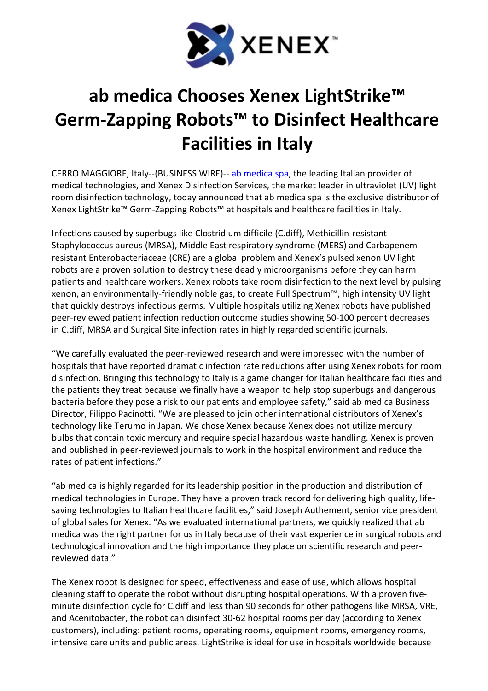

## ab medica Chooses Xenex LightStrike™ Germ-Zapping Robots™ to Disinfect Healthcare Facilities in Italy

CERRO MAGGIORE, Italy--(BUSINESS WIRE)-- ab medica spa, the leading Italian provider of medical technologies, and Xenex Disinfection Services, the market leader in ultraviolet (UV) light room disinfection technology, today announced that ab medica spa is the exclusive distributor of Xenex LightStrike™ Germ-Zapping Robots™ at hospitals and healthcare facilities in Italy.

Infections caused by superbugs like Clostridium difficile (C.diff), Methicillin-resistant Staphylococcus aureus (MRSA), Middle East respiratory syndrome (MERS) and Carbapenemresistant Enterobacteriaceae (CRE) are a global problem and Xenex's pulsed xenon UV light robots are a proven solution to destroy these deadly microorganisms before they can harm patients and healthcare workers. Xenex robots take room disinfection to the next level by pulsing xenon, an environmentally-friendly noble gas, to create Full Spectrum™, high intensity UV light that quickly destroys infectious germs. Multiple hospitals utilizing Xenex robots have published peer-reviewed patient infection reduction outcome studies showing 50-100 percent decreases in C.diff, MRSA and Surgical Site infection rates in highly regarded scientific journals.

"We carefully evaluated the peer-reviewed research and were impressed with the number of hospitals that have reported dramatic infection rate reductions after using Xenex robots for room disinfection. Bringing this technology to Italy is a game changer for Italian healthcare facilities and the patients they treat because we finally have a weapon to help stop superbugs and dangerous bacteria before they pose a risk to our patients and employee safety," said ab medica Business Director, Filippo Pacinotti. "We are pleased to join other international distributors of Xenex's technology like Terumo in Japan. We chose Xenex because Xenex does not utilize mercury bulbs that contain toxic mercury and require special hazardous waste handling. Xenex is proven and published in peer-reviewed journals to work in the hospital environment and reduce the rates of patient infections."

"ab medica is highly regarded for its leadership position in the production and distribution of medical technologies in Europe. They have a proven track record for delivering high quality, lifesaving technologies to Italian healthcare facilities," said Joseph Authement, senior vice president of global sales for Xenex. "As we evaluated international partners, we quickly realized that ab medica was the right partner for us in Italy because of their vast experience in surgical robots and technological innovation and the high importance they place on scientific research and peerreviewed data."

The Xenex robot is designed for speed, effectiveness and ease of use, which allows hospital cleaning staff to operate the robot without disrupting hospital operations. With a proven fiveminute disinfection cycle for C.diff and less than 90 seconds for other pathogens like MRSA, VRE, and Acenitobacter, the robot can disinfect 30-62 hospital rooms per day (according to Xenex customers), including: patient rooms, operating rooms, equipment rooms, emergency rooms, intensive care units and public areas. LightStrike is ideal for use in hospitals worldwide because